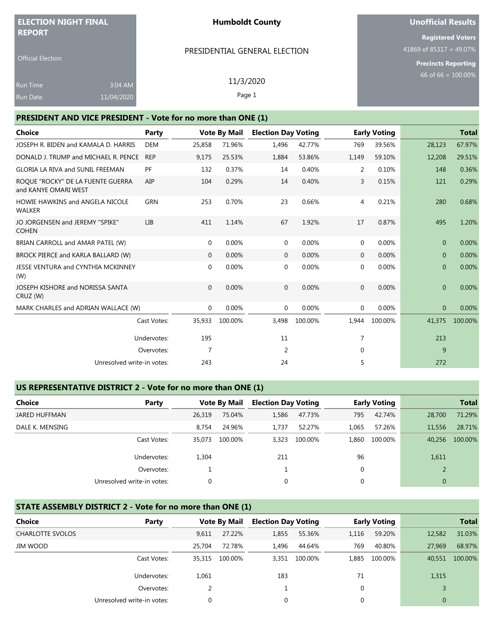| <b>ELECTION NIGHT FINAL</b>                                  |            | <b>Humboldt County</b> |                     |                               |        | <b>Unofficial Results</b> |                      |                            |                          |  |
|--------------------------------------------------------------|------------|------------------------|---------------------|-------------------------------|--------|---------------------------|----------------------|----------------------------|--------------------------|--|
| <b>REPORT</b>                                                |            |                        |                     |                               |        |                           |                      |                            | <b>Registered Voters</b> |  |
|                                                              |            |                        |                     | PRESIDENTIAL GENERAL ELECTION |        |                           |                      | 41869 of 85317 = 49.07%    |                          |  |
| <b>Official Election</b>                                     |            |                        |                     |                               |        |                           |                      | <b>Precincts Reporting</b> |                          |  |
| 3:04 AM<br><b>Run Time</b>                                   |            | 11/3/2020              |                     |                               |        |                           |                      | 66 of 66 = $100.00\%$      |                          |  |
| 11/04/2020<br><b>Run Date</b>                                |            |                        | Page 1              |                               |        |                           |                      |                            |                          |  |
| PRESIDENT AND VICE PRESIDENT - Vote for no more than ONE (1) |            |                        |                     |                               |        |                           |                      |                            |                          |  |
| Choice                                                       | Party      |                        | <b>Vote By Mail</b> | <b>Election Day Voting</b>    |        |                           | <b>Early Voting</b>  |                            | <b>Total</b>             |  |
| JOSEPH R. BIDEN and KAMALA D. HARRIS                         | <b>DEM</b> | 25,858                 | 71.96%              | 1,496                         | 42.77% |                           | 39.56%<br>769        | 28,123                     | 67.97%                   |  |
| DONALD J. TRUMP and MICHAEL R. PENCE                         | <b>REP</b> | 9,175                  | 25.53%              | 1,884                         | 53.86% | 1,149                     | 59.10%               | 12,208                     | 29.51%                   |  |
| <b>GLORIA LA RIVA and SUNIL FREEMAN</b>                      | PF         | 132                    | 0.37%               | 14                            | 0.40%  |                           | 2<br>0.10%           | 148                        | 0.36%                    |  |
| ROQUE "ROCKY" DE LA FUENTE GUERRA<br>and KANYE OMARI WEST    | AIP        | 104                    | 0.29%               | 14                            | 0.40%  |                           | 3<br>0.15%           | 121                        | 0.29%                    |  |
| <b>HOWIE HAWKINS and ANGELA NICOLE</b><br><b>WALKER</b>      | GRN        | 253                    | 0.70%               | 23                            | 0.66%  |                           | 0.21%<br>4           | 280                        | 0.68%                    |  |
| JO JORGENSEN and JEREMY "SPIKE"<br><b>COHEN</b>              | <b>LIB</b> | 411                    | 1.14%               | 67                            | 1.92%  |                           | 17<br>0.87%          | 495                        | 1.20%                    |  |
| BRIAN CARROLL and AMAR PATEL (W)                             |            | $\mathbf 0$            | 0.00%               | 0                             | 0.00%  |                           | 0.00%<br>$\mathbf 0$ | $\mathbf{0}$               | 0.00%                    |  |

| BROCK PIERCE and KARLA BALLARD (W)           |             | $\mathbf{0}$ | $0.00\%$ | 0        | 0.00%    | $\mathbf{0}$ | 0.00%   | $\mathbf{0}$ | 0.00%   |
|----------------------------------------------|-------------|--------------|----------|----------|----------|--------------|---------|--------------|---------|
| JESSE VENTURA and CYNTHIA MCKINNEY<br>(W)    |             | $\Omega$     | $0.00\%$ | 0        | $0.00\%$ | 0            | 0.00%   | $\mathbf{0}$ | 0.00%   |
| JOSEPH KISHORE and NORISSA SANTA<br>CRUZ (W) |             | $\Omega$     | $0.00\%$ | $\Omega$ | $0.00\%$ | $\mathbf{0}$ | 0.00%   | $\mathbf{0}$ | 0.00%   |
| MARK CHARLES and ADRIAN WALLACE (W)          |             | $\Omega$     | $0.00\%$ | 0        | $0.00\%$ | $\mathbf{0}$ | 0.00%   | $\mathbf{0}$ | 0.00%   |
|                                              | Cast Votes: | 35,933       | 100.00%  | 3,498    | 100.00%  | 1,944        | 100.00% | 41,375       | 100.00% |
|                                              | Undervotes: | 195          |          | 11       |          | 7            |         | 213          |         |
|                                              | Overvotes:  |              |          | 2        |          | $\mathbf 0$  |         | 9            |         |
| Unresolved write-in votes:                   |             | 243          |          | 24       |          | 5            |         | 272          |         |

## **US REPRESENTATIVE DISTRICT 2 - Vote for no more than ONE (1)**

| Choice          | Party                      |        | <b>Vote By Mail</b> | <b>Election Day Voting</b> |         |       | <b>Early Voting</b> |                | <b>Total</b> |
|-----------------|----------------------------|--------|---------------------|----------------------------|---------|-------|---------------------|----------------|--------------|
| JARED HUFFMAN   |                            | 26,319 | 75.04%              | 1,586                      | 47.73%  | 795   | 42.74%              | 28,700         | 71.29%       |
| DALE K. MENSING |                            | 8.754  | 24.96%              | 1.737                      | 52.27%  | 1.065 | 57.26%              | 11,556         | 28.71%       |
|                 | Cast Votes:                | 35,073 | 100.00%             | 3,323                      | 100.00% | 1,860 | 100.00%             | 40,256         | 100.00%      |
|                 | Undervotes:                | 1,304  |                     | 211                        |         | 96    |                     | 1,611          |              |
|                 | Overvotes:                 |        |                     |                            |         | 0     |                     | $\overline{2}$ |              |
|                 | Unresolved write-in votes: | 0      |                     | 0                          |         | 0     |                     | $\overline{0}$ |              |

# **STATE ASSEMBLY DISTRICT 2 - Vote for no more than ONE (1)**

| Choice                  | Party                      |        | <b>Vote By Mail</b> | <b>Election Day Voting</b> |         |       | <b>Early Voting</b> |              | <b>Total</b> |
|-------------------------|----------------------------|--------|---------------------|----------------------------|---------|-------|---------------------|--------------|--------------|
| <b>CHARLOTTE SVOLOS</b> |                            | 9.611  | 27.22%              | 1,855                      | 55.36%  | 1,116 | 59.20%              | 12,582       | 31.03%       |
| JIM WOOD                |                            | 25,704 | 72.78%              | 1,496                      | 44.64%  | 769   | 40.80%              | 27,969       | 68.97%       |
|                         | Cast Votes:                | 35,315 | 100.00%             | 3.351                      | 100.00% | 1.885 | 100.00%             | 40,551       | 100.00%      |
|                         | Undervotes:                | 1,061  |                     | 183                        |         | 71    |                     | 1,315        |              |
|                         | Overvotes:                 |        |                     |                            |         | 0     |                     |              |              |
|                         | Unresolved write-in votes: | 0      |                     | 0                          |         | 0     |                     | $\mathbf{0}$ |              |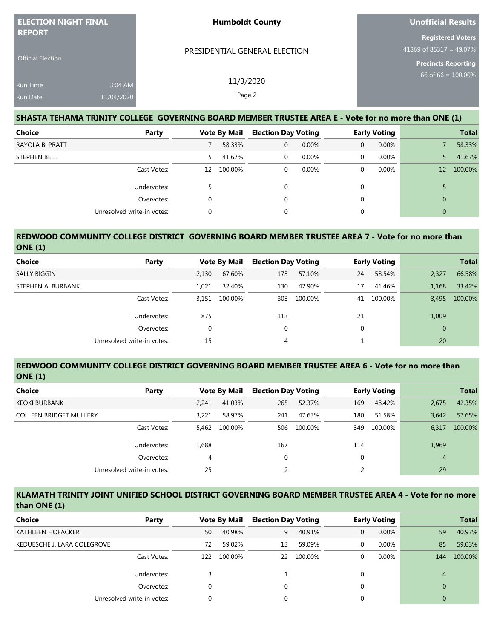| <b>ELECTION NIGHT FINAL</b>               |                       | <b>Humboldt County</b>                                                                              | <b>Unofficial Results</b>                                                         |
|-------------------------------------------|-----------------------|-----------------------------------------------------------------------------------------------------|-----------------------------------------------------------------------------------|
| <b>REPORT</b><br><b>Official Election</b> |                       | PRESIDENTIAL GENERAL ELECTION                                                                       | <b>Registered Voters</b><br>41869 of 85317 = 49.07%<br><b>Precincts Reporting</b> |
| <b>Run Time</b><br><b>Run Date</b>        | 3:04 AM<br>11/04/2020 | 11/3/2020<br>Page 2                                                                                 | $66$ of 66 = 100.00%                                                              |
|                                           |                       | SHASTA TEHAMA TRINITY COLLEGE GOVERNING BOARD MEMBER TRUSTEE AREA E - Vote for no more than ONE (1) |                                                                                   |

| <b>Choice</b>       | Party                      |    | <b>Vote By Mail</b> | <b>Election Day Voting</b> |       |              | <b>Early Voting</b> |    | <b>Total</b> |
|---------------------|----------------------------|----|---------------------|----------------------------|-------|--------------|---------------------|----|--------------|
| RAYOLA B. PRATT     |                            |    | 58.33%              | 0                          | 0.00% | $\mathbf{0}$ | 0.00%               |    | 58.33%       |
| <b>STEPHEN BELL</b> |                            | 5. | 41.67%              | 0                          | 0.00% | $\mathbf 0$  | 0.00%               |    | 41.67%       |
|                     | Cast Votes:                | 12 | 100.00%             | 0                          | 0.00% | 0            | 0.00%               | 12 | 100.00%      |
|                     | Undervotes:                |    |                     | 0                          |       | 0            |                     |    |              |
|                     | Overvotes:                 | 0  |                     |                            |       | 0            |                     | 0  |              |
|                     | Unresolved write-in votes: | 0  |                     |                            |       | 0            |                     | 0  |              |

#### **REDWOOD COMMUNITY COLLEGE DISTRICT GOVERNING BOARD MEMBER TRUSTEE AREA 7 - Vote for no more than ONE (1)**

| <b>Choice</b>      | Party                      |       | <b>Vote By Mail</b> |     | <b>Election Day Voting</b> |    | <b>Early Voting</b> |                | <b>Total</b> |
|--------------------|----------------------------|-------|---------------------|-----|----------------------------|----|---------------------|----------------|--------------|
| SALLY BIGGIN       |                            | 2,130 | 67.60%              | 173 | 57.10%                     | 24 | 58.54%              | 2,327          | 66.58%       |
| STEPHEN A. BURBANK |                            | 1.021 | 32.40%              | 130 | 42.90%                     | 17 | 41.46%              | 1,168          | 33.42%       |
|                    | Cast Votes:                | 3.151 | 100.00%             | 303 | 100.00%                    | 41 | 100.00%             | 3.495          | 100.00%      |
|                    | Undervotes:                | 875   |                     | 113 |                            | 21 |                     | 1,009          |              |
|                    | Overvotes:                 | 0     |                     | 0   |                            |    |                     | $\overline{0}$ |              |
|                    | Unresolved write-in votes: | 15    |                     | 4   |                            |    |                     | 20             |              |

#### **REDWOOD COMMUNITY COLLEGE DISTRICT GOVERNING BOARD MEMBER TRUSTEE AREA 6 - Vote for no more than ONE (1)**

| <b>Choice</b><br>Party         |       | <b>Vote By Mail</b> | <b>Election Day Voting</b> |         |     | <b>Early Voting</b> |                | <b>Total</b> |
|--------------------------------|-------|---------------------|----------------------------|---------|-----|---------------------|----------------|--------------|
| <b>KEOKI BURBANK</b>           | 2.241 | 41.03%              | 265                        | 52.37%  | 169 | 48.42%              | 2,675          | 42.35%       |
| <b>COLLEEN BRIDGET MULLERY</b> | 3.221 | 58.97%              | 241                        | 47.63%  | 180 | 51.58%              | 3.642          | 57.65%       |
| Cast Votes:                    | 5.462 | 100.00%             | 506                        | 100.00% | 349 | 100.00%             | 6,317          | 100.00%      |
| Undervotes:                    | 1,688 |                     | 167                        |         | 114 |                     | 1,969          |              |
| Overvotes:                     | 4     |                     | 0                          |         | 0   |                     | $\overline{4}$ |              |
| Unresolved write-in votes:     | 25    |                     |                            |         | 2   |                     | 29             |              |

#### **KLAMATH TRINITY JOINT UNIFIED SCHOOL DISTRICT GOVERNING BOARD MEMBER TRUSTEE AREA 4 - Vote for no more than ONE (1)**

| Choice<br>Party             |     | <b>Vote By Mail</b> | <b>Election Day Voting</b> |         |          | <b>Early Voting</b> |          | <b>Total</b> |
|-----------------------------|-----|---------------------|----------------------------|---------|----------|---------------------|----------|--------------|
| <b>KATHLEEN HOFACKER</b>    | 50  | 40.98%              | 9                          | 40.91%  | 0        | 0.00%               | 59       | 40.97%       |
| KEDUESCHE J. LARA COLEGROVE | 72  | 59.02%              | 13                         | 59.09%  | $\Omega$ | 0.00%               | 85       | 59.03%       |
| Cast Votes:                 | 122 | 100.00%             | 22                         | 100.00% |          | $0.00\%$            | 144      | 100.00%      |
| Undervotes:                 |     |                     |                            |         |          |                     | 4        |              |
| Overvotes:                  | 0   |                     | 0                          |         |          |                     | $\Omega$ |              |
| Unresolved write-in votes:  |     |                     |                            |         |          |                     |          |              |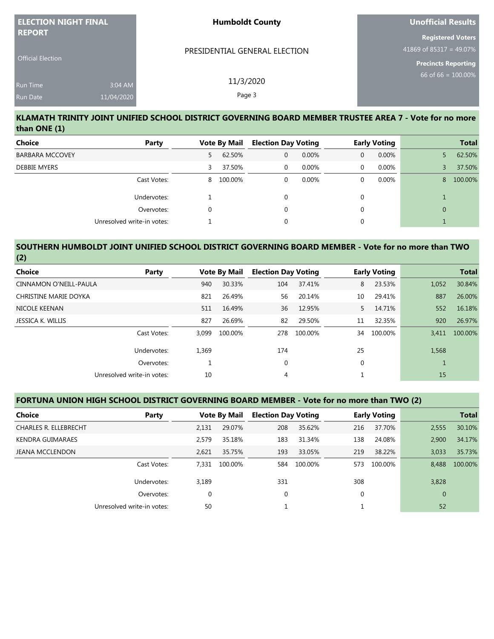| <b>ELECTION NIGHT FINAL</b> | <b>Humboldt County</b>        | <b>Unofficial Results</b>  |
|-----------------------------|-------------------------------|----------------------------|
| <b>REPORT</b>               |                               | <b>Registered Voters</b>   |
|                             | PRESIDENTIAL GENERAL ELECTION | 41869 of 85317 = 49.07%    |
| <b>Official Election</b>    |                               | <b>Precincts Reporting</b> |
| 3:04 AM<br><b>Run Time</b>  | 11/3/2020                     | 66 of 66 = $100.00\%$      |
| 11/04/2020<br>Run Date      | Page 3                        |                            |

#### **KLAMATH TRINITY JOINT UNIFIED SCHOOL DISTRICT GOVERNING BOARD MEMBER TRUSTEE AREA 7 - Vote for no more than ONE (1)**

| <b>Choice</b>          | Party                      |          | <b>Vote By Mail</b> | <b>Election Day Voting</b> |          |   | <b>Early Voting</b> |          | <b>Total</b> |
|------------------------|----------------------------|----------|---------------------|----------------------------|----------|---|---------------------|----------|--------------|
| <b>BARBARA MCCOVEY</b> |                            | 5.       | 62.50%              | $\mathbf{0}$               | $0.00\%$ | 0 | 0.00%               |          | 62.50%       |
| <b>DEBBIE MYERS</b>    |                            | 3        | 37.50%              | $\mathbf{0}$               | $0.00\%$ | 0 | 0.00%               |          | 37.50%       |
|                        | Cast Votes:                | 8        | 100.00%             | $\mathbf{0}$               | $0.00\%$ | 0 | 0.00%               | 8        | 100.00%      |
|                        | Undervotes:                |          |                     | $\Omega$                   |          | 0 |                     |          |              |
|                        | Overvotes:                 | $\Omega$ |                     | $\Omega$                   |          | 0 |                     | $\Omega$ |              |
|                        | Unresolved write-in votes: |          |                     | 0                          |          | 0 |                     |          |              |

#### **SOUTHERN HUMBOLDT JOINT UNIFIED SCHOOL DISTRICT GOVERNING BOARD MEMBER - Vote for no more than TWO (2)**

| Choice<br>Party            |          | <b>Vote By Mail</b> | <b>Election Day Voting</b> |         |             | <b>Early Voting</b> |       | <b>Total</b> |
|----------------------------|----------|---------------------|----------------------------|---------|-------------|---------------------|-------|--------------|
| CINNAMON O'NEILL-PAULA     | 940      | 30.33%              | 104                        | 37.41%  | 8           | 23.53%              | 1,052 | 30.84%       |
| CHRISTINE MARIE DOYKA      | 821      | 26.49%              | 56                         | 20.14%  | 10          | 29.41%              | 887   | 26.00%       |
| NICOLE KEENAN              | 511      | 16.49%              | 36                         | 12.95%  | 5.          | 14.71%              | 552   | 16.18%       |
| JESSICA K. WILLIS          | 827      | 26.69%              | 82                         | 29.50%  | 11          | 32.35%              | 920   | 26.97%       |
| Cast Votes:                | 3.099    | 100.00%             | 278                        | 100.00% | 34          | 100.00%             | 3.411 | 100.00%      |
| Undervotes:                | 1,369    |                     | 174                        |         | 25          |                     | 1,568 |              |
| Overvotes:                 | <b>T</b> |                     | $\mathbf 0$                |         | $\mathbf 0$ |                     |       |              |
| Unresolved write-in votes: | 10       |                     | 4                          |         |             |                     | 15    |              |

#### **FORTUNA UNION HIGH SCHOOL DISTRICT GOVERNING BOARD MEMBER - Vote for no more than TWO (2)**

| Choice                       | Party                      |             | <b>Vote By Mail</b> |             | <b>Election Day Voting</b> |     | <b>Early Voting</b> |                | <b>Total</b> |
|------------------------------|----------------------------|-------------|---------------------|-------------|----------------------------|-----|---------------------|----------------|--------------|
| <b>CHARLES R. ELLEBRECHT</b> |                            | 2,131       | 29.07%              | 208         | 35.62%                     | 216 | 37.70%              | 2,555          | 30.10%       |
| <b>KENDRA GUIMARAES</b>      |                            | 2.579       | 35.18%              | 183         | 31.34%                     | 138 | 24.08%              | 2.900          | 34.17%       |
| <b>JEANA MCCLENDON</b>       |                            | 2.621       | 35.75%              | 193         | 33.05%                     | 219 | 38.22%              | 3,033          | 35.73%       |
|                              | Cast Votes:                | 7,331       | 100.00%             | 584         | 100.00%                    | 573 | 100.00%             | 8.488          | 100.00%      |
|                              | Undervotes:                | 3,189       |                     | 331         |                            | 308 |                     | 3,828          |              |
|                              | Overvotes:                 | $\mathbf 0$ |                     | $\mathbf 0$ |                            | 0   |                     | $\overline{0}$ |              |
|                              | Unresolved write-in votes: | 50          |                     |             |                            |     |                     | 52             |              |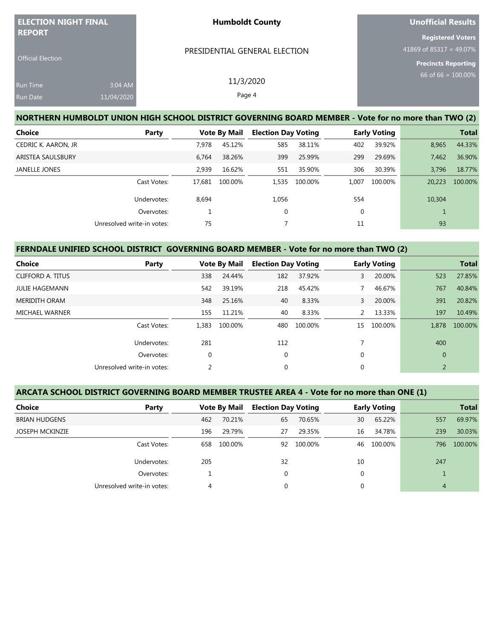| <b>ELECTION NIGHT FINAL</b><br><b>REPORT</b> |                       | <b>Humboldt County</b>                                                                              | <b>Unofficial Results</b>                                                         |
|----------------------------------------------|-----------------------|-----------------------------------------------------------------------------------------------------|-----------------------------------------------------------------------------------|
| <b>Official Election</b>                     |                       | PRESIDENTIAL GENERAL ELECTION                                                                       | <b>Registered Voters</b><br>41869 of 85317 = 49.07%<br><b>Precincts Reporting</b> |
| <b>Run Time</b><br><b>Run Date</b>           | 3:04 AM<br>11/04/2020 | 11/3/2020<br>Page 4                                                                                 | $66$ of 66 = $100.00\%$                                                           |
|                                              |                       | NORTHERN HUMBOLDT UNION HIGH SCHOOL DISTRICT GOVERNING BOARD MEMBER - Vote for no more than TWO (2) |                                                                                   |

| Choice               | Party                      |        | <b>Vote By Mail</b> | <b>Election Day Voting</b> |         | <b>Early Voting</b> |         |        | <b>Total</b> |
|----------------------|----------------------------|--------|---------------------|----------------------------|---------|---------------------|---------|--------|--------------|
| CEDRIC K. AARON, JR  |                            | 7.978  | 45.12%              | 585                        | 38.11%  | 402                 | 39.92%  | 8,965  | 44.33%       |
| ARISTEA SAULSBURY    |                            | 6.764  | 38.26%              | 399                        | 25.99%  | 299                 | 29.69%  | 7,462  | 36.90%       |
| <b>JANELLE JONES</b> |                            | 2,939  | 16.62%              | 551                        | 35.90%  | 306                 | 30.39%  | 3,796  | 18.77%       |
|                      | Cast Votes:                | 17,681 | 100.00%             | 1.535                      | 100.00% | 1,007               | 100.00% | 20,223 | 100.00%      |
|                      | Undervotes:                | 8,694  |                     | 1,056                      |         | 554                 |         | 10,304 |              |
|                      | Overvotes:                 |        |                     | $\mathbf 0$                |         | $\mathbf{0}$        |         |        |              |
|                      | Unresolved write-in votes: | 75     |                     |                            |         | 11                  |         | 93     |              |

# **FERNDALE UNIFIED SCHOOL DISTRICT GOVERNING BOARD MEMBER - Vote for no more than TWO (2)**

| Choice                | Party                      |             | <b>Vote By Mail</b> |             | <b>Election Day Voting</b> |              | <b>Early Voting</b> |                | <b>Total</b> |
|-----------------------|----------------------------|-------------|---------------------|-------------|----------------------------|--------------|---------------------|----------------|--------------|
| CLIFFORD A. TITUS     |                            | 338         | 24.44%              | 182         | 37.92%                     | 3            | 20.00%              | 523            | 27.85%       |
| <b>JULIE HAGEMANN</b> |                            | 542         | 39.19%              | 218         | 45.42%                     |              | 46.67%              | 767            | 40.84%       |
| <b>MERIDITH ORAM</b>  |                            | 348         | 25.16%              | 40          | 8.33%                      | $\mathbf{3}$ | 20.00%              | 391            | 20.82%       |
| <b>MICHAEL WARNER</b> |                            | 155         | 11.21%              | 40          | 8.33%                      | 2            | 13.33%              | 197            | 10.49%       |
|                       | Cast Votes:                | 1.383       | 100.00%             | 480         | 100.00%                    | 15           | 100.00%             | 1,878          | 100.00%      |
|                       | Undervotes:                | 281         |                     | 112         |                            |              |                     | 400            |              |
|                       | Overvotes:                 | $\mathbf 0$ |                     | $\mathbf 0$ |                            | $\mathbf 0$  |                     | $\overline{0}$ |              |
|                       | Unresolved write-in votes: | 2           |                     | $\mathbf 0$ |                            | $\mathbf 0$  |                     | 2              |              |

## **ARCATA SCHOOL DISTRICT GOVERNING BOARD MEMBER TRUSTEE AREA 4 - Vote for no more than ONE (1)**

| Choice                 | Party                      |     | <b>Vote By Mail</b> | <b>Election Day Voting</b> |         |    | <b>Early Voting</b> |     | <b>Total</b> |
|------------------------|----------------------------|-----|---------------------|----------------------------|---------|----|---------------------|-----|--------------|
| <b>BRIAN HUDGENS</b>   |                            | 462 | 70.21%              | 65                         | 70.65%  | 30 | 65.22%              | 557 | 69.97%       |
| <b>JOSEPH MCKINZIE</b> |                            | 196 | 29.79%              | 27                         | 29.35%  | 16 | 34.78%              | 239 | 30.03%       |
|                        | Cast Votes:                | 658 | 100.00%             | 92                         | 100.00% | 46 | 100.00%             | 796 | 100.00%      |
|                        | Undervotes:                | 205 |                     | 32                         |         | 10 |                     | 247 |              |
|                        | Overvotes:                 |     |                     | $\mathbf 0$                |         | 0  |                     |     |              |
|                        | Unresolved write-in votes: | 4   |                     | 0                          |         | 0  |                     | 4   |              |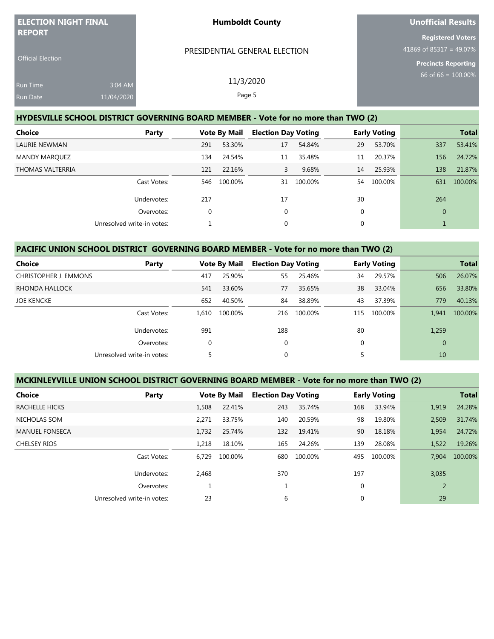| <b>ELECTION NIGHT FINAL</b>               |                       | <b>Humboldt County</b>                                                            | Unofficial Results                                                                |
|-------------------------------------------|-----------------------|-----------------------------------------------------------------------------------|-----------------------------------------------------------------------------------|
| <b>REPORT</b><br><b>Official Election</b> |                       | PRESIDENTIAL GENERAL ELECTION                                                     | <b>Registered Voters</b><br>41869 of 85317 = 49.07%<br><b>Precincts Reporting</b> |
| <b>Run Time</b><br>Run Date               | 3:04 AM<br>11/04/2020 | 11/3/2020<br>Page 5                                                               | 66 of 66 = $100.00\%$                                                             |
|                                           |                       | HYDESVILLE SCHOOL DISTRICT GOVERNING BOARD MEMBER - Vote for no more than TWO (2) |                                                                                   |

| <b>Choice</b><br>Party     |     | <b>Vote By Mail</b> |             | <b>Election Day Voting</b> |    | <b>Early Voting</b> |              | <b>Total</b> |
|----------------------------|-----|---------------------|-------------|----------------------------|----|---------------------|--------------|--------------|
| LAURIE NEWMAN              | 291 | 53.30%              | 17          | 54.84%                     | 29 | 53.70%              | 337          | 53.41%       |
| <b>MANDY MARQUEZ</b>       | 134 | 24.54%              | 11          | 35.48%                     | 11 | 20.37%              | 156          | 24.72%       |
| THOMAS VALTERRIA           | 121 | 22.16%              | 3           | 9.68%                      | 14 | 25.93%              | 138          | 21.87%       |
| Cast Votes:                | 546 | 100.00%             | 31          | 100.00%                    | 54 | 100.00%             | 631          | 100.00%      |
| Undervotes:                | 217 |                     | 17          |                            | 30 |                     | 264          |              |
| Overvotes:                 | 0   |                     | 0           |                            | 0  |                     | $\mathbf{0}$ |              |
| Unresolved write-in votes: |     |                     | $\mathbf 0$ |                            | 0  |                     |              |              |

# **PACIFIC UNION SCHOOL DISTRICT GOVERNING BOARD MEMBER - Vote for no more than TWO (2)**

| Choice                     | Party       |          | <b>Vote By Mail</b> | <b>Election Day Voting</b> |         |     | <b>Early Voting</b> |              | <b>Total</b> |
|----------------------------|-------------|----------|---------------------|----------------------------|---------|-----|---------------------|--------------|--------------|
| CHRISTOPHER J. EMMONS      |             | 417      | 25.90%              | 55                         | 25.46%  | 34  | 29.57%              | 506          | 26.07%       |
| RHONDA HALLOCK             |             | 541      | 33.60%              | 77                         | 35.65%  | 38  | 33.04%              | 656          | 33.80%       |
| <b>JOE KENCKE</b>          |             | 652      | 40.50%              | 84                         | 38.89%  | 43  | 37.39%              | 779          | 40.13%       |
|                            | Cast Votes: | 1.610    | 100.00%             | 216                        | 100.00% | 115 | 100.00%             | 1,941        | 100.00%      |
|                            | Undervotes: | 991      |                     | 188                        |         | 80  |                     | 1,259        |              |
|                            | Overvotes:  | $\Omega$ |                     | 0                          |         | 0   |                     | $\mathbf{0}$ |              |
| Unresolved write-in votes: |             |          |                     | 0                          |         | 5   |                     | 10           |              |

# **MCKINLEYVILLE UNION SCHOOL DISTRICT GOVERNING BOARD MEMBER - Vote for no more than TWO (2)**

| <b>Choice</b>         | Party                      |       | <b>Vote By Mail</b> | <b>Election Day Voting</b> |         |              | <b>Early Voting</b> |                | <b>Total</b> |
|-----------------------|----------------------------|-------|---------------------|----------------------------|---------|--------------|---------------------|----------------|--------------|
| RACHELLE HICKS        |                            | 1.508 | 22.41%              | 243                        | 35.74%  | 168          | 33.94%              | 1,919          | 24.28%       |
| NICHOLAS SOM          |                            | 2.271 | 33.75%              | 140                        | 20.59%  | 98           | 19.80%              | 2,509          | 31.74%       |
| <b>MANUEL FONSECA</b> |                            | 1.732 | 25.74%              | 132                        | 19.41%  | 90           | 18.18%              | 1,954          | 24.72%       |
| <b>CHELSEY RIOS</b>   |                            | 1.218 | 18.10%              | 165                        | 24.26%  | 139          | 28.08%              | 1,522          | 19.26%       |
|                       | Cast Votes:                | 6.729 | 100.00%             | 680                        | 100.00% | 495          | 100.00%             | 7.904          | 100.00%      |
|                       | Undervotes:                | 2,468 |                     | 370                        |         | 197          |                     | 3,035          |              |
|                       | Overvotes:                 | ᅩ     |                     |                            |         | $\mathbf{0}$ |                     | $\overline{2}$ |              |
|                       | Unresolved write-in votes: | 23    |                     | 6                          |         | $\mathbf{0}$ |                     | 29             |              |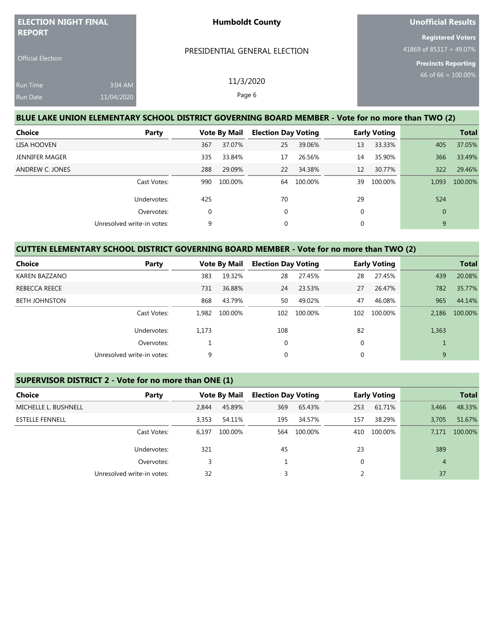| <b>ELECTION NIGHT FINAL</b><br><b>REPORT</b> |                       | <b>Humboldt County</b>                                                                            | <b>Unofficial Results</b>                                                         |
|----------------------------------------------|-----------------------|---------------------------------------------------------------------------------------------------|-----------------------------------------------------------------------------------|
| <b>Official Election</b>                     |                       | PRESIDENTIAL GENERAL ELECTION                                                                     | <b>Registered Voters</b><br>41869 of 85317 = 49.07%<br><b>Precincts Reporting</b> |
| Run Time<br>Run Date                         | 3:04 AM<br>11/04/2020 | 11/3/2020<br>Page 6                                                                               | $66$ of 66 = $100.00\%$                                                           |
|                                              |                       | BLUE LAKE UNION ELEMENTARY SCHOOL DISTRICT GOVERNING BOARD MEMBER - Vote for no more than TWO (2) |                                                                                   |

| Choice<br>Party            |             | <b>Vote By Mail</b> |             | <b>Election Day Voting</b> |              | <b>Early Voting</b> |              | <b>Total</b> |
|----------------------------|-------------|---------------------|-------------|----------------------------|--------------|---------------------|--------------|--------------|
| LISA HOOVEN                | 367         | 37.07%              | 25          | 39.06%                     | 13           | 33.33%              | 405          | 37.05%       |
| JENNIFER MAGER             | 335         | 33.84%              | 17          | 26.56%                     | 14           | 35.90%              | 366          | 33.49%       |
| ANDREW C. JONES            | 288         | 29.09%              | 22          | 34.38%                     | 12           | 30.77%              | 322          | 29.46%       |
| Cast Votes:                | 990         | 100.00%             | 64          | 100.00%                    | 39           | 100.00%             | 1,093        | 100.00%      |
| Undervotes:                | 425         |                     | 70          |                            | 29           |                     | 524          |              |
| Overvotes:                 | $\mathbf 0$ |                     | 0           |                            | $\mathbf{0}$ |                     | $\mathbf{0}$ |              |
| Unresolved write-in votes: | 9           |                     | $\mathbf 0$ |                            | 0            |                     | 9            |              |

## **CUTTEN ELEMENTARY SCHOOL DISTRICT GOVERNING BOARD MEMBER - Vote for no more than TWO (2)**

| Choice               | Party                      | <b>Vote By Mail</b> |         | <b>Election Day Voting</b> |         |     | <b>Early Voting</b> |       | <b>Total</b> |
|----------------------|----------------------------|---------------------|---------|----------------------------|---------|-----|---------------------|-------|--------------|
| KAREN BAZZANO        |                            | 383                 | 19.32%  | 28                         | 27.45%  | 28  | 27.45%              | 439   | 20.08%       |
| REBECCA REECE        |                            | 731                 | 36.88%  | 24                         | 23.53%  | 27  | 26.47%              | 782   | 35.77%       |
| <b>BETH JOHNSTON</b> |                            | 868                 | 43.79%  | 50                         | 49.02%  | 47  | 46.08%              | 965   | 44.14%       |
|                      | Cast Votes:                | 1.982               | 100.00% | 102                        | 100.00% | 102 | 100.00%             | 2.186 | 100.00%      |
|                      | Undervotes:                | 1,173               |         | 108                        |         | 82  |                     | 1,363 |              |
|                      | Overvotes:                 |                     |         | 0                          |         | 0   |                     |       |              |
|                      | Unresolved write-in votes: | 9                   |         | $\mathbf 0$                |         |     |                     | 9     |              |

## **SUPERVISOR DISTRICT 2 - Vote for no more than ONE (1)**

| Choice                 | Party                      |       | <b>Vote By Mail</b> | <b>Election Day Voting</b> |         | <b>Early Voting</b> |         |                | <b>Total</b> |
|------------------------|----------------------------|-------|---------------------|----------------------------|---------|---------------------|---------|----------------|--------------|
| MICHELLE L. BUSHNELL   |                            | 2.844 | 45.89%              | 369                        | 65.43%  | 253                 | 61.71%  | 3,466          | 48.33%       |
| <b>ESTELLE FENNELL</b> |                            | 3,353 | 54.11%              | 195                        | 34.57%  | 157                 | 38.29%  | 3.705          | 51.67%       |
|                        | Cast Votes:                | 6.197 | 100.00%             | 564                        | 100.00% | 410                 | 100.00% | 7.171          | 100.00%      |
|                        | Undervotes:                | 321   |                     | 45                         |         | 23                  |         | 389            |              |
|                        | Overvotes:                 |       |                     |                            |         | 0                   |         | $\overline{4}$ |              |
|                        | Unresolved write-in votes: | 32    |                     |                            |         |                     |         | 37             |              |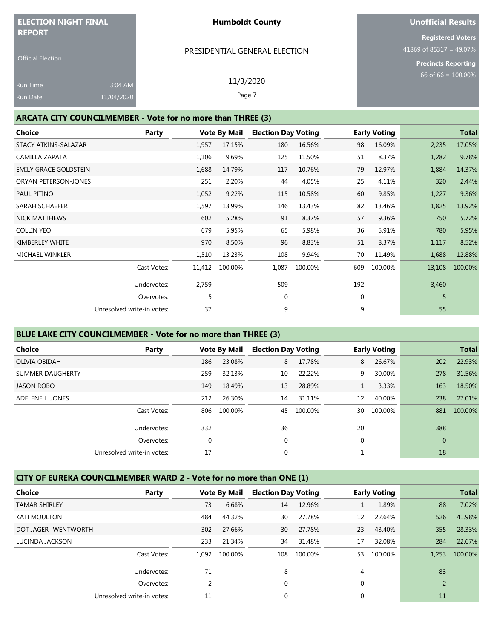| <b>ELECTION NIGHT FINAL</b><br><b>REPORT</b>                |            |       | <b>Humboldt County</b>        |                            | <b>Unofficial Results</b> |                            |  |  |
|-------------------------------------------------------------|------------|-------|-------------------------------|----------------------------|---------------------------|----------------------------|--|--|
|                                                             |            |       |                               |                            |                           | <b>Registered Voters</b>   |  |  |
| <b>Official Election</b>                                    |            |       | PRESIDENTIAL GENERAL ELECTION |                            |                           | 41869 of 85317 = 49.07%    |  |  |
|                                                             |            |       |                               |                            |                           | <b>Precincts Reporting</b> |  |  |
| <u>Ru</u> n Time                                            | 3:04 AM    |       | 11/3/2020                     |                            | 66 of 66 = $100.00\%$     |                            |  |  |
| Run Date                                                    | 11/04/2020 |       | Page 7                        |                            |                           |                            |  |  |
|                                                             |            |       |                               |                            |                           |                            |  |  |
| ARCATA CITY COUNCILMEMBER - Vote for no more than THREE (3) |            |       |                               |                            |                           |                            |  |  |
| Choice                                                      |            | Party | <b>Vote By Mail</b>           | <b>Election Day Voting</b> | <b>Early Voting</b>       | <b>Total</b>               |  |  |

| STACY ATKINS-SALAZAR         |                            | 1,957  | 17.15%  | 180         | 16.56%  | 98  | 16.09%  | 2,235  | 17.05%  |
|------------------------------|----------------------------|--------|---------|-------------|---------|-----|---------|--------|---------|
| CAMILLA ZAPATA               |                            | 1,106  | 9.69%   | 125         | 11.50%  | 51  | 8.37%   | 1,282  | 9.78%   |
| <b>EMILY GRACE GOLDSTEIN</b> |                            | 1,688  | 14.79%  | 117         | 10.76%  | 79  | 12.97%  | 1,884  | 14.37%  |
| ORYAN PETERSON-JONES         |                            | 251    | 2.20%   | 44          | 4.05%   | 25  | 4.11%   | 320    | 2.44%   |
| PAUL PITINO                  |                            | 1,052  | 9.22%   | 115         | 10.58%  | 60  | 9.85%   | 1,227  | 9.36%   |
| <b>SARAH SCHAEFER</b>        |                            | 1,597  | 13.99%  | 146         | 13.43%  | 82  | 13.46%  | 1,825  | 13.92%  |
| <b>NICK MATTHEWS</b>         |                            | 602    | 5.28%   | 91          | 8.37%   | 57  | 9.36%   | 750    | 5.72%   |
| <b>COLLIN YEO</b>            |                            | 679    | 5.95%   | 65          | 5.98%   | 36  | 5.91%   | 780    | 5.95%   |
| KIMBERLEY WHITE              |                            | 970    | 8.50%   | 96          | 8.83%   | 51  | 8.37%   | 1,117  | 8.52%   |
| <b>MICHAEL WINKLER</b>       |                            | 1,510  | 13.23%  | 108         | 9.94%   | 70  | 11.49%  | 1,688  | 12.88%  |
|                              | Cast Votes:                | 11,412 | 100.00% | 1,087       | 100.00% | 609 | 100.00% | 13,108 | 100.00% |
|                              | Undervotes:                | 2,759  |         | 509         |         | 192 |         | 3,460  |         |
|                              | Overvotes:                 | 5      |         | $\mathbf 0$ |         | 0   |         | 5      |         |
|                              | Unresolved write-in votes: | 37     |         | 9           |         | 9   |         | 55     |         |
|                              |                            |        |         |             |         |     |         |        |         |

## **BLUE LAKE CITY COUNCILMEMBER - Vote for no more than THREE (3)**

| <b>Choice</b>           | Party                      | <b>Vote By Mail</b> |         |             | <b>Election Day Voting</b> |    | <b>Early Voting</b> |              | <b>Total</b> |
|-------------------------|----------------------------|---------------------|---------|-------------|----------------------------|----|---------------------|--------------|--------------|
| OLIVIA OBIDAH           |                            | 186                 | 23.08%  | 8           | 17.78%                     | 8  | 26.67%              | 202          | 22.93%       |
| <b>SUMMER DAUGHERTY</b> |                            | 259                 | 32.13%  | 10          | 22.22%                     | 9  | 30.00%              | 278          | 31.56%       |
| <b>JASON ROBO</b>       |                            | 149                 | 18.49%  | 13          | 28.89%                     |    | 3.33%               | 163          | 18.50%       |
| ADELENE L. JONES        |                            | 212                 | 26.30%  | 14          | 31.11%                     | 12 | 40.00%              | 238          | 27.01%       |
|                         | Cast Votes:                | 806                 | 100.00% | 45          | 100.00%                    | 30 | 100.00%             | 881          | 100.00%      |
|                         | Undervotes:                | 332                 |         | 36          |                            | 20 |                     | 388          |              |
|                         | Overvotes:                 | 0                   |         | $\mathbf 0$ |                            | 0  |                     | $\mathbf{0}$ |              |
|                         | Unresolved write-in votes: | 17                  |         | $\mathbf 0$ |                            |    |                     | 18           |              |
|                         |                            |                     |         |             |                            |    |                     |              |              |

## **CITY OF EUREKA COUNCILMEMBER WARD 2 - Vote for no more than ONE (1)**

| <b>Choice</b>        | Party                      | <b>Vote By Mail</b> |         |          | <b>Election Day Voting</b> |             | <b>Early Voting</b> |                | <b>Total</b> |
|----------------------|----------------------------|---------------------|---------|----------|----------------------------|-------------|---------------------|----------------|--------------|
| <b>TAMAR SHIRLEY</b> |                            | 73                  | 6.68%   | 14       | 12.96%                     |             | 1.89%               | 88             | 7.02%        |
| <b>KATI MOULTON</b>  |                            | 484                 | 44.32%  | 30       | 27.78%                     | 12          | 22.64%              | 526            | 41.98%       |
| DOT JAGER- WENTWORTH |                            | 302                 | 27.66%  | 30       | 27.78%                     | 23          | 43.40%              | 355            | 28.33%       |
| LUCINDA JACKSON      |                            | 233                 | 21.34%  | 34       | 31.48%                     | 17          | 32.08%              | 284            | 22.67%       |
|                      | Cast Votes:                | 1.092               | 100.00% | 108      | 100.00%                    | 53          | 100.00%             | 1.253          | 100.00%      |
|                      | Undervotes:                | 71                  |         | 8        |                            | 4           |                     | 83             |              |
|                      | Overvotes:                 | 2                   |         | $\Omega$ |                            | 0           |                     | $\overline{2}$ |              |
|                      | Unresolved write-in votes: | 11                  |         | 0        |                            | $\mathbf 0$ |                     | 11             |              |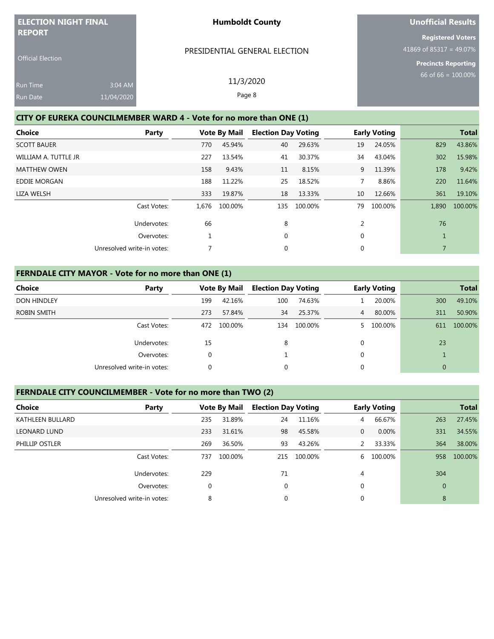| <b>ELECTION NIGHT FINAL</b>                                 |                                                                     |                     | <b>Unofficial Results</b>  |        |    |                                                                                   |                       |              |  |  |
|-------------------------------------------------------------|---------------------------------------------------------------------|---------------------|----------------------------|--------|----|-----------------------------------------------------------------------------------|-----------------------|--------------|--|--|
| <b>REPORT</b><br><b>Official Election</b>                   | PRESIDENTIAL GENERAL ELECTION                                       |                     |                            |        |    | <b>Registered Voters</b><br>41869 of 85317 = 49.07%<br><b>Precincts Reporting</b> |                       |              |  |  |
| 3:04 AM<br><b>Run Time</b><br>11/04/2020<br><b>Run Date</b> | 11/3/2020<br>Page 8                                                 |                     |                            |        |    |                                                                                   | 66 of 66 = $100.00\%$ |              |  |  |
|                                                             | CITY OF EUREKA COUNCILMEMBER WARD 4 - Vote for no more than ONE (1) |                     |                            |        |    |                                                                                   |                       |              |  |  |
| Choice                                                      | Party                                                               | <b>Vote By Mail</b> | <b>Election Day Voting</b> |        |    | <b>Early Voting</b>                                                               |                       | <b>Total</b> |  |  |
| <b>SCOTT BAUER</b>                                          |                                                                     | 45.94%<br>770       | 40                         | 29.63% | 19 | 24.05%                                                                            | 829                   | 43.86%       |  |  |

WILLIAM A. TUTTLE JR 2002 227 227 227 23.54% 41 30.37% 34 43.04% 302 15.98% MATTHEW OWEN 178 19.42% 158 9.43% 11 8.15% 9 11.39% 178 9.42% EDDIE MORGAN 188 11.22% 25 18.52% 7 8.86% 220 11.64% LIZA WELSH 333 19.87% 18 13.33% 10 12.66% 361 19.10%

Cast Votes: 1,676 100.00% 135 100.00% 79 100.00% 1,890 100.00%

Undervotes: 66 8 8 2 76 Overvotes:  $\begin{array}{ccccccc} 1 & 0 & 0 & 0 & 1 \end{array}$ 

Unresolved write-in votes:  $\begin{array}{ccc} 7 & 0 & 0 & 0 \end{array}$ 

#### **FERNDALE CITY MAYOR - Vote for no more than ONE (1)**

| Choice             | Party                      |     | <b>Vote By Mail</b> | <b>Election Day Voting</b> |         | <b>Early Voting</b> |         |              | <b>Total</b> |
|--------------------|----------------------------|-----|---------------------|----------------------------|---------|---------------------|---------|--------------|--------------|
| <b>DON HINDLEY</b> |                            | 199 | 42.16%              | 100                        | 74.63%  |                     | 20.00%  | 300          | 49.10%       |
| ROBIN SMITH        |                            | 273 | 57.84%              | 34                         | 25.37%  | $\overline{4}$      | 80.00%  | 311          | 50.90%       |
|                    | Cast Votes:                | 472 | 100.00%             | 134                        | 100.00% |                     | 100.00% | 611          | 100.00%      |
|                    | Undervotes:                | 15  |                     | 8                          |         | 0                   |         | 23           |              |
|                    | Overvotes:                 | 0   |                     |                            |         | 0                   |         |              |              |
|                    | Unresolved write-in votes: | 0   |                     | 0                          |         | 0                   |         | $\mathbf{0}$ |              |

#### **FERNDALE CITY COUNCILMEMBER - Vote for no more than TWO (2)**

| <b>Choice</b>       | Party                      |     | <b>Vote By Mail</b> | <b>Election Day Voting</b> |         |   | <b>Early Voting</b> |              | <b>Total</b> |
|---------------------|----------------------------|-----|---------------------|----------------------------|---------|---|---------------------|--------------|--------------|
| KATHLEEN BULLARD    |                            | 235 | 31.89%              | 24                         | 11.16%  | 4 | 66.67%              | 263          | 27.45%       |
| <b>LEONARD LUND</b> |                            | 233 | 31.61%              | 98                         | 45.58%  | 0 | 0.00%               | 331          | 34.55%       |
| PHILLIP OSTLER      |                            | 269 | 36.50%              | 93                         | 43.26%  |   | 33.33%              | 364          | 38.00%       |
|                     | Cast Votes:                | 737 | 100.00%             | 215                        | 100.00% | 6 | 100.00%             | 958          | 100.00%      |
|                     | Undervotes:                | 229 |                     | 71                         |         | 4 |                     | 304          |              |
|                     | Overvotes:                 | 0   |                     | 0                          |         | 0 |                     | $\mathbf{0}$ |              |
|                     | Unresolved write-in votes: | 8   |                     | $\Omega$                   |         | 0 |                     | 8            |              |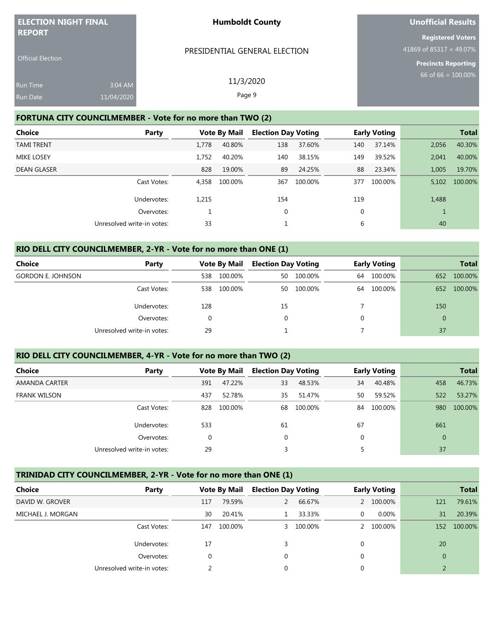| <b>ELECTION NIGHT FINAL</b><br><b>REPORT</b> |                       | <b>Humboldt County</b>                                     | Unofficial Results                                                                |
|----------------------------------------------|-----------------------|------------------------------------------------------------|-----------------------------------------------------------------------------------|
| <b>Official Election</b>                     |                       | PRESIDENTIAL GENERAL ELECTION                              | <b>Registered Voters</b><br>41869 of 85317 = 49.07%<br><b>Precincts Reporting</b> |
| <b>Run Time</b><br>Run Date                  | 3:04 AM<br>11/04/2020 | 11/3/2020<br>Page 9                                        | 66 of 66 = $100.00\%$                                                             |
|                                              |                       | FORTUNA CITY COUNCILMEMBER - Vote for no more than TWO (2) |                                                                                   |

| Choice             | <b>Party</b>               | <b>Vote By Mail</b> |         | <b>Election Day Voting</b> |         | <b>Early Voting</b> |         |       | <b>Total</b> |
|--------------------|----------------------------|---------------------|---------|----------------------------|---------|---------------------|---------|-------|--------------|
| <b>TAMI TRENT</b>  |                            | 1.778               | 40.80%  | 138                        | 37.60%  | 140                 | 37.14%  | 2,056 | 40.30%       |
| <b>MIKE LOSEY</b>  |                            | 1.752               | 40.20%  | 140                        | 38.15%  | 149                 | 39.52%  | 2,041 | 40.00%       |
| <b>DEAN GLASER</b> |                            | 828                 | 19.00%  | 89                         | 24.25%  | 88                  | 23.34%  | 1.005 | 19.70%       |
|                    | Cast Votes:                | 4.358               | 100.00% | 367                        | 100.00% | 377                 | 100.00% | 5,102 | 100.00%      |
|                    | Undervotes:                | 1,215               |         | 154                        |         | 119                 |         | 1,488 |              |
|                    | Overvotes:                 |                     |         | 0                          |         | $\mathbf 0$         |         |       |              |
|                    | Unresolved write-in votes: |                     |         |                            |         | 6                   |         | 40    |              |

#### **RIO DELL CITY COUNCILMEMBER, 2-YR - Vote for no more than ONE (1)**

| <b>Choice</b><br>Party     |             | <b>Vote By Mail</b> |         | <b>Election Day Voting</b> |         | <b>Early Voting</b> |         | <b>Total</b>   |         |
|----------------------------|-------------|---------------------|---------|----------------------------|---------|---------------------|---------|----------------|---------|
| <b>GORDON E. JOHNSON</b>   |             | 538                 | 100.00% | 50                         | 100.00% | 64                  | 100.00% | 652            | 100.00% |
|                            | Cast Votes: | 538                 | 100.00% | 50                         | 100.00% | 64                  | 100.00% | 652            | 100.00% |
|                            | Undervotes: | 128                 |         | 15                         |         |                     |         | 150            |         |
|                            | Overvotes:  |                     |         |                            |         | $\Omega$            |         | $\overline{0}$ |         |
| Unresolved write-in votes: |             | 29                  |         |                            |         |                     |         | 37             |         |

#### **RIO DELL CITY COUNCILMEMBER, 4-YR - Vote for no more than TWO (2)**

| <b>Choice</b>       | Party                      |     | <b>Vote By Mail</b> | <b>Election Day Voting</b> |         | <b>Early Voting</b> |         |                | <b>Total</b> |
|---------------------|----------------------------|-----|---------------------|----------------------------|---------|---------------------|---------|----------------|--------------|
| AMANDA CARTER       |                            | 391 | 47.22%              | 33                         | 48.53%  | 34                  | 40.48%  | 458            | 46.73%       |
| <b>FRANK WILSON</b> |                            | 437 | 52.78%              | 35                         | 51.47%  | 50                  | 59.52%  | 522            | 53.27%       |
|                     | Cast Votes:                | 828 | 100.00%             | 68                         | 100.00% | 84                  | 100.00% | 980            | 100.00%      |
|                     | Undervotes:                | 533 |                     | 61                         |         | 67                  |         | 661            |              |
|                     | Overvotes:                 |     |                     | 0                          |         | $\Omega$            |         | $\overline{0}$ |              |
|                     | Unresolved write-in votes: | 29  |                     |                            |         |                     |         | 37             |              |

#### **TRINIDAD CITY COUNCILMEMBER, 2-YR - Vote for no more than ONE (1)**

| Choice            | Party                      |             | <b>Vote By Mail</b> | <b>Election Day Voting</b> |           |               | <b>Early Voting</b> |              | <b>Total</b> |
|-------------------|----------------------------|-------------|---------------------|----------------------------|-----------|---------------|---------------------|--------------|--------------|
| DAVID W. GROVER   |                            | 117         | 79.59%              | 2                          | 66.67%    | $\mathcal{P}$ | 100.00%             | 121          | 79.61%       |
| MICHAEL J. MORGAN |                            | 30          | 20.41%              |                            | 33.33%    | 0             | $0.00\%$            | 31           | 20.39%       |
|                   | Cast Votes:                | 147         | 100.00%             |                            | 3 100.00% | $\mathcal{P}$ | 100.00%             | 152          | 100.00%      |
|                   | Undervotes:                | 17          |                     | 3                          |           | 0             |                     | 20           |              |
|                   | Overvotes:                 | $\mathbf 0$ |                     | $\Omega$                   |           | 0             |                     | $\mathbf{0}$ |              |
|                   | Unresolved write-in votes: |             |                     | 0                          |           | 0             |                     |              |              |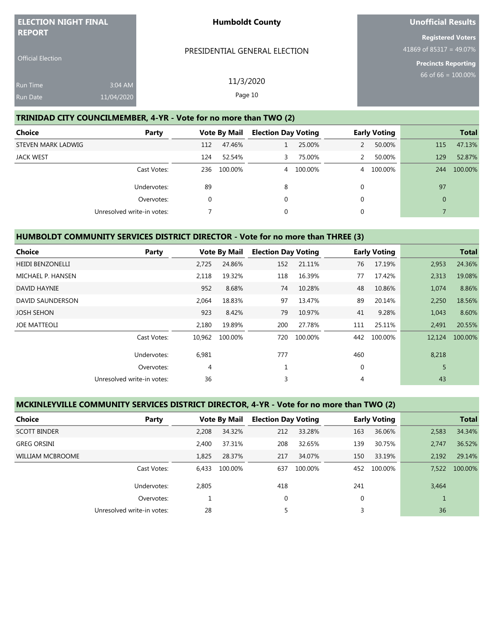| <b>ELECTION NIGHT FINAL</b><br><b>REPORT</b> |                       | <b>Humboldt County</b>                                            | Unofficial Results                                                                |
|----------------------------------------------|-----------------------|-------------------------------------------------------------------|-----------------------------------------------------------------------------------|
| <b>Official Election</b>                     |                       | PRESIDENTIAL GENERAL ELECTION                                     | <b>Registered Voters</b><br>41869 of 85317 = 49.07%<br><b>Precincts Reporting</b> |
| <b>Run Time</b><br><b>Run Date</b>           | 3:04 AM<br>11/04/2020 | 11/3/2020<br>Page 10                                              | $66$ of 66 = $100.00\%$                                                           |
|                                              |                       | TRINIDAD CITY COUNCILMEMBER, 4-YR - Vote for no more than TWO (2) |                                                                                   |

| <b>Choice</b>      | Party                      |     | <b>Vote By Mail</b> | <b>Election Day Voting</b> |           |          | <b>Early Voting</b> |                | <b>Total</b> |
|--------------------|----------------------------|-----|---------------------|----------------------------|-----------|----------|---------------------|----------------|--------------|
| STEVEN MARK LADWIG |                            | 112 | 47.46%              |                            | 25.00%    |          | 50.00%              | 115            | 47.13%       |
| <b>JACK WEST</b>   |                            | 124 | 52.54%              | 3.                         | 75.00%    | 2        | 50.00%              | 129            | 52.87%       |
|                    | Cast Votes:                | 236 | 100.00%             |                            | 4 100.00% |          | 4 100.00%           | 244            | 100.00%      |
|                    | Undervotes:                | 89  |                     | 8                          |           | $\Omega$ |                     | 97             |              |
|                    | Overvotes:                 | 0   |                     | 0                          |           | $\Omega$ |                     | $\overline{0}$ |              |
|                    | Unresolved write-in votes: |     |                     | $\Omega$                   |           | $\Omega$ |                     |                |              |

## **HUMBOLDT COMMUNITY SERVICES DISTRICT DIRECTOR - Vote for no more than THREE (3)**

| <b>Choice</b>           | Party                      |        | <b>Vote By Mail</b> | <b>Election Day Voting</b> |         |             | <b>Early Voting</b> |        | <b>Total</b> |
|-------------------------|----------------------------|--------|---------------------|----------------------------|---------|-------------|---------------------|--------|--------------|
| <b>HEIDI BENZONELLI</b> |                            | 2,725  | 24.86%              | 152                        | 21.11%  | 76          | 17.19%              | 2,953  | 24.36%       |
| MICHAEL P. HANSEN       |                            | 2.118  | 19.32%              | 118                        | 16.39%  | 77          | 17.42%              | 2,313  | 19.08%       |
| DAVID HAYNIE            |                            | 952    | 8.68%               | 74                         | 10.28%  | 48          | 10.86%              | 1,074  | 8.86%        |
| DAVID SAUNDERSON        |                            | 2,064  | 18.83%              | 97                         | 13.47%  | 89          | 20.14%              | 2,250  | 18.56%       |
| <b>JOSH SEHON</b>       |                            | 923    | 8.42%               | 79                         | 10.97%  | 41          | 9.28%               | 1,043  | 8.60%        |
| <b>JOE MATTEOLI</b>     |                            | 2,180  | 19.89%              | 200                        | 27.78%  | 111         | 25.11%              | 2,491  | 20.55%       |
|                         | Cast Votes:                | 10,962 | 100.00%             | 720                        | 100.00% | 442         | 100.00%             | 12,124 | 100.00%      |
|                         | Undervotes:                | 6,981  |                     | 777                        |         | 460         |                     | 8,218  |              |
|                         | Overvotes:                 | 4      |                     |                            |         | $\mathbf 0$ |                     | 5      |              |
|                         | Unresolved write-in votes: | 36     |                     | 3                          |         | 4           |                     | 43     |              |

#### **MCKINLEYVILLE COMMUNITY SERVICES DISTRICT DIRECTOR, 4-YR - Vote for no more than TWO (2)**

| <b>Choice</b>           | Party                      |       | <b>Vote By Mail</b> | <b>Election Day Voting</b> |         |     | <b>Early Voting</b> |       | <b>Total</b> |
|-------------------------|----------------------------|-------|---------------------|----------------------------|---------|-----|---------------------|-------|--------------|
| <b>SCOTT BINDER</b>     |                            | 2.208 | 34.32%              | 212                        | 33.28%  | 163 | 36.06%              | 2,583 | 34.34%       |
| <b>GREG ORSINI</b>      |                            | 2.400 | 37.31%              | 208                        | 32.65%  | 139 | 30.75%              | 2.747 | 36.52%       |
| <b>WILLIAM MCBROOME</b> |                            | 1.825 | 28.37%              | 217                        | 34.07%  | 150 | 33.19%              | 2.192 | 29.14%       |
|                         | Cast Votes:                | 6.433 | 100.00%             | 637                        | 100.00% | 452 | 100.00%             | 7.522 | 100.00%      |
|                         | Undervotes:                | 2,805 |                     | 418                        |         | 241 |                     | 3,464 |              |
|                         | Overvotes:                 |       |                     | $\mathbf 0$                |         | 0   |                     |       |              |
|                         | Unresolved write-in votes: | 28    |                     |                            |         |     |                     | 36    |              |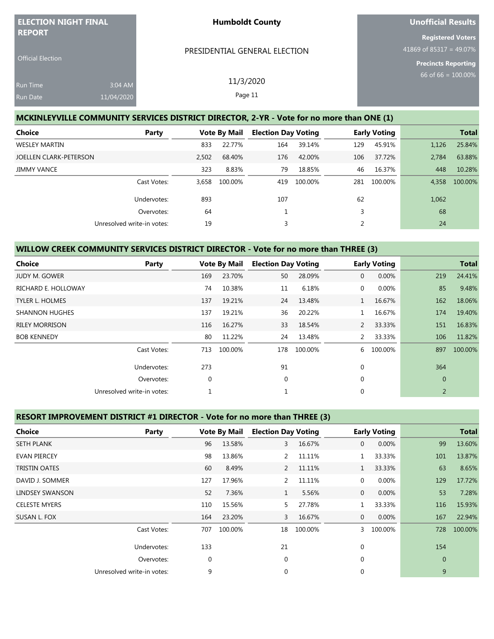| <b>ELECTION NIGHT FINAL</b><br><b>REPORT</b> |            | <b>Humboldt County</b>                                                                    | Unofficial Results                                  |
|----------------------------------------------|------------|-------------------------------------------------------------------------------------------|-----------------------------------------------------|
|                                              |            | PRESIDENTIAL GENERAL ELECTION                                                             | <b>Registered Voters</b><br>41869 of 85317 = 49.07% |
| <b>Official Election</b>                     |            |                                                                                           | <b>Precincts Reporting</b>                          |
| <b>Run Time</b>                              | 3:04 AM    | 11/3/2020                                                                                 | 66 of 66 = $100.00\%$                               |
| <b>Run Date</b>                              | 11/04/2020 | Page 11                                                                                   |                                                     |
|                                              |            | MCVINILEW/ILLE COMMUNITY CEDVICES DISTRICT DIRECTOR 2 VD<br>Note for no more than ONE (1) |                                                     |

#### **MCKINLEYVILLE COMMUNITY SERVICES DISTRICT DIRECTOR, 2-YR - Vote for no more than ONE (1)**

| <b>Choice</b><br>Party     |       | <b>Vote By Mail</b> | <b>Election Day Voting</b> |         |     | <b>Early Voting</b> |       | <b>Total</b> |
|----------------------------|-------|---------------------|----------------------------|---------|-----|---------------------|-------|--------------|
| <b>WESLEY MARTIN</b>       | 833   | 22.77%              | 164                        | 39.14%  | 129 | 45.91%              | 1,126 | 25.84%       |
| JOELLEN CLARK-PETERSON     | 2.502 | 68.40%              | 176                        | 42.00%  | 106 | 37.72%              | 2.784 | 63.88%       |
| <b>JIMMY VANCE</b>         | 323   | 8.83%               | 79                         | 18.85%  | 46  | 16.37%              | 448   | 10.28%       |
| Cast Votes:                | 3.658 | 100.00%             | 419                        | 100.00% | 281 | 100.00%             | 4.358 | 100.00%      |
| Undervotes:                | 893   |                     | 107                        |         | 62  |                     | 1,062 |              |
| Overvotes:                 | 64    |                     |                            |         | 3   |                     | 68    |              |
| Unresolved write-in votes: | 19    |                     | 3                          |         | 2   |                     | 24    |              |

### **WILLOW CREEK COMMUNITY SERVICES DISTRICT DIRECTOR - Vote for no more than THREE (3)**

| <b>Choice</b>          | Party                      |              | <b>Vote By Mail</b> | <b>Election Day Voting</b> |         |                | <b>Early Voting</b> |                | <b>Total</b> |
|------------------------|----------------------------|--------------|---------------------|----------------------------|---------|----------------|---------------------|----------------|--------------|
| <b>JUDY M. GOWER</b>   |                            | 169          | 23.70%              | 50                         | 28.09%  | $\mathbf{0}$   | 0.00%               | 219            | 24.41%       |
| RICHARD E. HOLLOWAY    |                            | 74           | 10.38%              | 11                         | 6.18%   | $\mathbf 0$    | 0.00%               | 85             | 9.48%        |
| <b>TYLER L. HOLMES</b> |                            | 137          | 19.21%              | 24                         | 13.48%  | $\mathbf{1}$   | 16.67%              | 162            | 18.06%       |
| <b>SHANNON HUGHES</b>  |                            | 137          | 19.21%              | 36                         | 20.22%  |                | 16.67%              | 174            | 19.40%       |
| <b>RILEY MORRISON</b>  |                            | 116          | 16.27%              | 33                         | 18.54%  | $\mathbf{2}$   | 33.33%              | 151            | 16.83%       |
| <b>BOB KENNEDY</b>     |                            | 80           | 11.22%              | 24                         | 13.48%  | $\overline{2}$ | 33.33%              | 106            | 11.82%       |
|                        | Cast Votes:                | 713          | 100.00%             | 178                        | 100.00% | 6              | 100.00%             | 897            | 100.00%      |
|                        | Undervotes:                | 273          |                     | 91                         |         | $\mathbf 0$    |                     | 364            |              |
|                        | Overvotes:                 | $\mathbf{0}$ |                     | $\mathbf 0$                |         | $\mathbf 0$    |                     | $\overline{0}$ |              |
|                        | Unresolved write-in votes: | 1            |                     |                            |         | $\mathbf 0$    |                     | $\overline{2}$ |              |

#### **RESORT IMPROVEMENT DISTRICT #1 DIRECTOR - Vote for no more than THREE (3)**

| <b>Choice</b>        | Party                      |     | <b>Vote By Mail</b> | <b>Election Day Voting</b> |         |              | <b>Early Voting</b> |              | <b>Total</b> |
|----------------------|----------------------------|-----|---------------------|----------------------------|---------|--------------|---------------------|--------------|--------------|
| <b>SETH PLANK</b>    |                            | 96  | 13.58%              | 3                          | 16.67%  | $\mathbf{0}$ | 0.00%               | 99           | 13.60%       |
| <b>EVAN PIERCEY</b>  |                            | 98  | 13.86%              | 2                          | 11.11%  |              | 33.33%              | 101          | 13.87%       |
| <b>TRISTIN OATES</b> |                            | 60  | 8.49%               | 2                          | 11.11%  | $\mathbf{1}$ | 33.33%              | 63           | 8.65%        |
| DAVID J. SOMMER      |                            | 127 | 17.96%              | 2                          | 11.11%  | $\mathbf 0$  | 0.00%               | 129          | 17.72%       |
| LINDSEY SWANSON      |                            | 52  | 7.36%               | $\mathbf{1}$               | 5.56%   | $\mathbf{0}$ | 0.00%               | 53           | 7.28%        |
| <b>CELESTE MYERS</b> |                            | 110 | 15.56%              | 5                          | 27.78%  |              | 33.33%              | 116          | 15.93%       |
| SUSAN L. FOX         |                            | 164 | 23.20%              | 3                          | 16.67%  | $\mathbf{0}$ | 0.00%               | 167          | 22.94%       |
|                      | Cast Votes:                | 707 | 100.00%             | 18                         | 100.00% | 3            | 100.00%             | 728          | 100.00%      |
|                      | Undervotes:                | 133 |                     | 21                         |         | $\mathbf 0$  |                     | 154          |              |
|                      | Overvotes:                 | 0   |                     | $\mathbf{0}$               |         | $\mathbf 0$  |                     | $\mathbf{0}$ |              |
|                      | Unresolved write-in votes: | 9   |                     | $\mathbf 0$                |         | $\mathbf 0$  |                     | 9            |              |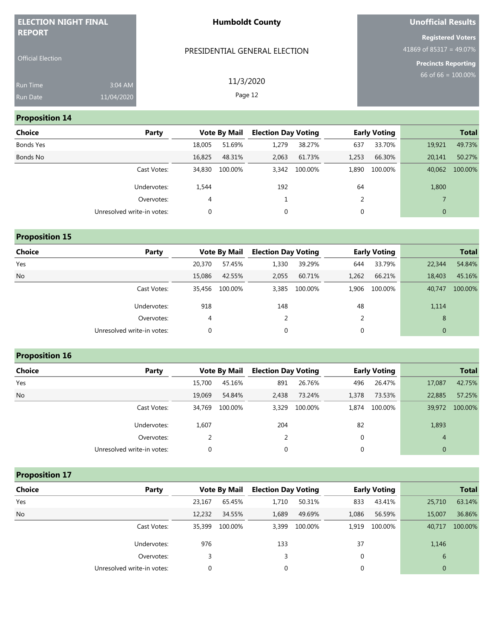| <b>ELECTION NIGHT FINAL</b>               |                       | <b>Humboldt County</b>        | Unofficial Results                                                         |
|-------------------------------------------|-----------------------|-------------------------------|----------------------------------------------------------------------------|
| <b>REPORT</b><br><b>Official Election</b> |                       | PRESIDENTIAL GENERAL ELECTION | <b>Registered Voters</b><br>41869 of 85317 = 49.07%<br>Precincts Reporting |
| Run Time<br>Run Date                      | 3:04 AM<br>11/04/2020 | 11/3/2020<br>Page 12          | 66 of 66 = $100.00\%$                                                      |

## **Proposition 14**

| <b>Choice</b> | Party                      |        | <b>Vote By Mail</b> | <b>Election Day Voting</b> |               |       | <b>Early Voting</b> |              | <b>Total</b> |
|---------------|----------------------------|--------|---------------------|----------------------------|---------------|-------|---------------------|--------------|--------------|
| Bonds Yes     |                            | 18,005 | 51.69%              | 1,279                      | 38.27%        | 637   | 33.70%              | 19,921       | 49.73%       |
| Bonds No      |                            | 16,825 | 48.31%              | 2,063                      | 61.73%        | 1,253 | 66.30%              | 20,141       | 50.27%       |
|               | Cast Votes:                | 34,830 | 100.00%             |                            | 3,342 100.00% | 1,890 | 100.00%             | 40,062       | 100.00%      |
|               | Undervotes:                | 1,544  |                     | 192                        |               | 64    |                     | 1,800        |              |
|               | Overvotes:                 | 4      |                     |                            |               |       |                     |              |              |
|               | Unresolved write-in votes: | 0      |                     | 0                          |               | 0     |                     | $\mathbf{0}$ |              |

| <b>Proposition 15</b> |  |  |  |  |  |
|-----------------------|--|--|--|--|--|
|-----------------------|--|--|--|--|--|

| <b>Choice</b> | Party                      |        | <b>Vote By Mail</b> | <b>Election Day Voting</b> |               |       | <b>Early Voting</b> |              | <b>Total</b> |
|---------------|----------------------------|--------|---------------------|----------------------------|---------------|-------|---------------------|--------------|--------------|
| Yes           |                            | 20,370 | 57.45%              | 1,330                      | 39.29%        | 644   | 33.79%              | 22,344       | 54.84%       |
| <b>No</b>     |                            | 15,086 | 42.55%              | 2,055                      | 60.71%        | 1,262 | 66.21%              | 18,403       | 45.16%       |
|               | Cast Votes:                | 35,456 | 100.00%             |                            | 3,385 100.00% | 1.906 | 100.00%             | 40,747       | 100.00%      |
|               | Undervotes:                | 918    |                     | 148                        |               | 48    |                     | 1,114        |              |
|               | Overvotes:                 | 4      |                     |                            |               |       |                     | 8            |              |
|               | Unresolved write-in votes: | 0      |                     | 0                          |               | 0     |                     | $\mathbf{0}$ |              |
|               |                            |        |                     |                            |               |       |                     |              |              |

# **Proposition 16**

| Choice    | Party                      |        | <b>Vote By Mail</b> | <b>Election Day Voting</b> |         |             | <b>Early Voting</b> |                | <b>Total</b> |
|-----------|----------------------------|--------|---------------------|----------------------------|---------|-------------|---------------------|----------------|--------------|
| Yes       |                            | 15,700 | 45.16%              | 891                        | 26.76%  | 496         | 26.47%              | 17,087         | 42.75%       |
| <b>No</b> |                            | 19,069 | 54.84%              | 2,438                      | 73.24%  | 1,378       | 73.53%              | 22,885         | 57.25%       |
|           | Cast Votes:                | 34,769 | 100.00%             | 3,329                      | 100.00% | 1.874       | 100.00%             | 39,972         | 100.00%      |
|           | Undervotes:                | 1,607  |                     | 204                        |         | 82          |                     | 1,893          |              |
|           | Overvotes:                 |        |                     |                            |         | $\mathbf 0$ |                     | $\overline{4}$ |              |
|           | Unresolved write-in votes: |        |                     | $\mathbf 0$                |         | 0           |                     | $\mathbf{0}$   |              |

**Proposition 17**

| <b>Choice</b> | Party                      |        | <b>Vote By Mail</b> | <b>Election Day Voting</b> |         |       | <b>Early Voting</b> |              | <b>Total</b> |
|---------------|----------------------------|--------|---------------------|----------------------------|---------|-------|---------------------|--------------|--------------|
| Yes           |                            | 23,167 | 65.45%              | 1,710                      | 50.31%  | 833   | 43.41%              | 25,710       | 63.14%       |
| No            |                            | 12,232 | 34.55%              | 1,689                      | 49.69%  | 1,086 | 56.59%              | 15,007       | 36.86%       |
|               | Cast Votes:                | 35,399 | 100.00%             | 3.399                      | 100.00% | 1.919 | 100.00%             | 40,717       | 100.00%      |
|               | Undervotes:                | 976    |                     | 133                        |         | 37    |                     | 1,146        |              |
|               | Overvotes:                 |        |                     | 3                          |         | 0     |                     | 6            |              |
|               | Unresolved write-in votes: |        |                     | 0                          |         | 0     |                     | $\mathbf{0}$ |              |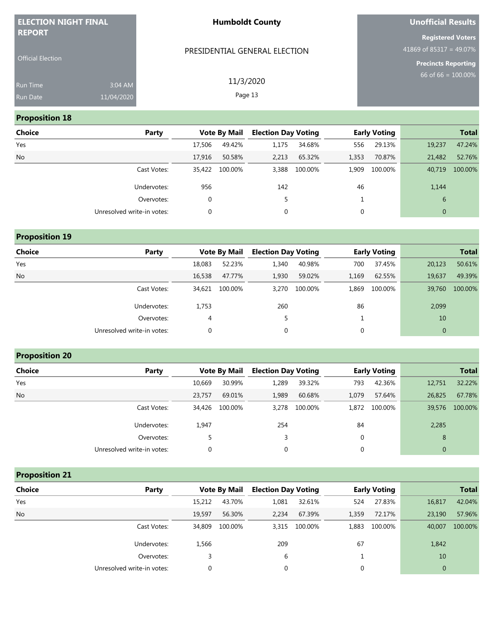| <b>ELECTION NIGHT FINAL</b> |            | <b>Humboldt County</b>        | Unofficial Results                                    |
|-----------------------------|------------|-------------------------------|-------------------------------------------------------|
| <b>REPORT</b>               |            | PRESIDENTIAL GENERAL ELECTION | <b>Registered Voters</b><br>41869 of 85317 = 49.07%   |
| <b>Official Election</b>    |            |                               | <b>Precincts Reporting</b><br>$66$ of 66 = $100.00\%$ |
| Run Time                    | 3:04 AM    | 11/3/2020                     |                                                       |
| <b>Run Date</b>             | 11/04/2020 | Page 13                       |                                                       |

# **Proposition 18**

| <b>Choice</b> | Party                      |        | <b>Vote By Mail</b> | <b>Election Day Voting</b> |         |       | <b>Early Voting</b> |                | <b>Total</b> |
|---------------|----------------------------|--------|---------------------|----------------------------|---------|-------|---------------------|----------------|--------------|
| Yes           |                            | 17,506 | 49.42%              | 1,175                      | 34.68%  | 556   | 29.13%              | 19,237         | 47.24%       |
| <b>No</b>     |                            | 17,916 | 50.58%              | 2,213                      | 65.32%  | 1,353 | 70.87%              | 21,482         | 52.76%       |
|               | Cast Votes:                | 35,422 | 100.00%             | 3,388                      | 100.00% | 1,909 | 100.00%             | 40,719         | 100.00%      |
|               | Undervotes:                | 956    |                     | 142                        |         | 46    |                     | 1,144          |              |
|               | Overvotes:                 | 0      |                     |                            |         |       |                     | 6              |              |
|               | Unresolved write-in votes: | 0      |                     | 0                          |         | 0     |                     | $\overline{0}$ |              |

| <b>Proposition 19</b> |                            |        |                     |                            |         |             |                     |              |              |
|-----------------------|----------------------------|--------|---------------------|----------------------------|---------|-------------|---------------------|--------------|--------------|
| <b>Choice</b>         | Party                      |        | <b>Vote By Mail</b> | <b>Election Day Voting</b> |         |             | <b>Early Voting</b> |              | <b>Total</b> |
| Yes                   |                            | 18,083 | 52.23%              | 1,340                      | 40.98%  | 700         | 37.45%              | 20,123       | 50.61%       |
| No                    |                            | 16,538 | 47.77%              | 1,930                      | 59.02%  | 1,169       | 62.55%              | 19,637       | 49.39%       |
|                       | Cast Votes:                | 34,621 | 100.00%             | 3,270                      | 100.00% | 1,869       | 100.00%             | 39,760       | 100.00%      |
|                       | Undervotes:                | 1,753  |                     | 260                        |         | 86          |                     | 2,099        |              |
|                       | Overvotes:                 | 4      |                     | 5                          |         |             |                     | 10           |              |
|                       | Unresolved write-in votes: | 0      |                     | 0                          |         | $\mathbf 0$ |                     | $\mathbf{0}$ |              |

# **Proposition 20**

| <b>Choice</b> | Party                      |        | <b>Vote By Mail</b> | <b>Election Day Voting</b> |         |       | <b>Early Voting</b> |                | <b>Total</b> |
|---------------|----------------------------|--------|---------------------|----------------------------|---------|-------|---------------------|----------------|--------------|
| Yes           |                            | 10.669 | 30.99%              | 1,289                      | 39.32%  | 793   | 42.36%              | 12,751         | 32.22%       |
| <b>No</b>     |                            | 23,757 | 69.01%              | 1,989                      | 60.68%  | 1.079 | 57.64%              | 26,825         | 67.78%       |
|               | Cast Votes:                | 34,426 | 100.00%             | 3,278                      | 100.00% | 1.872 | 100.00%             | 39,576         | 100.00%      |
|               | Undervotes:                | 1,947  |                     | 254                        |         | 84    |                     | 2,285          |              |
|               | Overvotes:                 |        |                     | 3                          |         | 0     |                     | 8              |              |
|               | Unresolved write-in votes: |        |                     | $\mathbf 0$                |         | 0     |                     | $\overline{0}$ |              |

# **Proposition 21**

| <b>Choice</b> | Party                      |        | <b>Vote By Mail</b> | <b>Election Day Voting</b> |         |       | <b>Early Voting</b> |              | <b>Total</b> |
|---------------|----------------------------|--------|---------------------|----------------------------|---------|-------|---------------------|--------------|--------------|
| Yes           |                            | 15,212 | 43.70%              | 1,081                      | 32.61%  | 524   | 27.83%              | 16,817       | 42.04%       |
| <b>No</b>     |                            | 19.597 | 56.30%              | 2,234                      | 67.39%  | 1,359 | 72.17%              | 23,190       | 57.96%       |
|               | Cast Votes:                | 34,809 | 100.00%             | 3,315                      | 100.00% | 1.883 | 100.00%             | 40,007       | 100.00%      |
|               | Undervotes:                | 1,566  |                     | 209                        |         | 67    |                     | 1,842        |              |
|               | Overvotes:                 |        |                     | 6                          |         |       |                     | 10           |              |
|               | Unresolved write-in votes: |        |                     | 0                          |         | 0     |                     | $\mathbf{0}$ |              |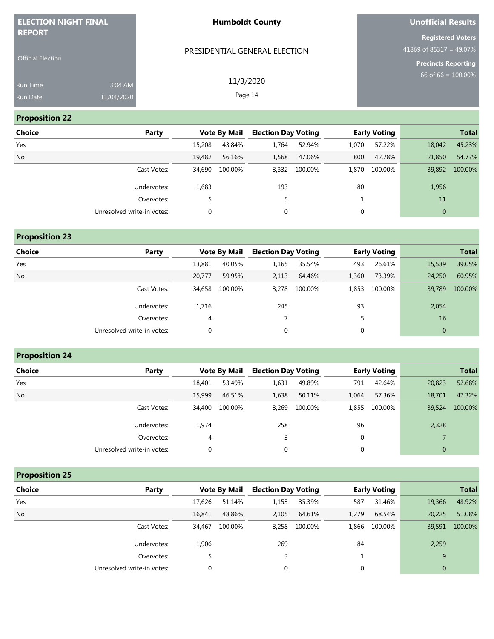| <b>ELECTION NIGHT FINAL</b>               |                       | <b>Humboldt County</b>        | <b>Unofficial Results</b>                                                         |
|-------------------------------------------|-----------------------|-------------------------------|-----------------------------------------------------------------------------------|
| <b>REPORT</b><br><b>Official Election</b> |                       | PRESIDENTIAL GENERAL ELECTION | <b>Registered Voters</b><br>41869 of 85317 = 49.07%<br><b>Precincts Reporting</b> |
| <b>Run Time</b><br>Run Date               | 3:04 AM<br>11/04/2020 | 11/3/2020<br>Page 14          | 66 of 66 = $100.00\%$                                                             |
| <b>Proposition 22</b>                     |                       |                               |                                                                                   |

| Choice    | Party                      |        | <b>Vote By Mail</b> | <b>Election Day Voting</b> |         |       | <b>Early Voting</b> |              | <b>Total</b> |
|-----------|----------------------------|--------|---------------------|----------------------------|---------|-------|---------------------|--------------|--------------|
| Yes       |                            | 15,208 | 43.84%              | 1.764                      | 52.94%  | 1.070 | 57.22%              | 18,042       | 45.23%       |
| <b>No</b> |                            | 19,482 | 56.16%              | 1,568                      | 47.06%  | 800   | 42.78%              | 21,850       | 54.77%       |
|           | Cast Votes:                | 34,690 | 100.00%             | 3,332                      | 100.00% | 1,870 | 100.00%             | 39,892       | 100.00%      |
|           | Undervotes:                | 1,683  |                     | 193                        |         | 80    |                     | 1,956        |              |
|           | Overvotes:                 |        |                     | 5                          |         |       |                     | 11           |              |
|           | Unresolved write-in votes: |        |                     | 0                          |         | 0     |                     | $\mathbf{0}$ |              |

| <b>Proposition 23</b> |                            |          |                     |                            |               |       |                     |                |              |
|-----------------------|----------------------------|----------|---------------------|----------------------------|---------------|-------|---------------------|----------------|--------------|
| <b>Choice</b>         | Party                      |          | <b>Vote By Mail</b> | <b>Election Day Voting</b> |               |       | <b>Early Voting</b> |                | <b>Total</b> |
| Yes                   |                            | 13,881   | 40.05%              | 1,165                      | 35.54%        | 493   | 26.61%              | 15,539         | 39.05%       |
| No                    |                            | 20.777   | 59.95%              | 2,113                      | 64.46%        | 1,360 | 73.39%              | 24,250         | 60.95%       |
|                       | Cast Votes:                | 34,658   | 100.00%             |                            | 3,278 100.00% | 1.853 | 100.00%             | 39,789         | 100.00%      |
|                       | Undervotes:                | 1,716    |                     | 245                        |               | 93    |                     | 2,054          |              |
|                       | Overvotes:                 | 4        |                     |                            |               | 5     |                     | 16             |              |
|                       | Unresolved write-in votes: | $\Omega$ |                     | $\Omega$                   |               | 0     |                     | $\overline{0}$ |              |

|  |  |  | <b>Proposition 24</b> |
|--|--|--|-----------------------|
|--|--|--|-----------------------|

| <b>Choice</b> | Party                      |        | <b>Vote By Mail</b> |             | <b>Election Day Voting</b> |             | <b>Early Voting</b> |                | <b>Total</b> |
|---------------|----------------------------|--------|---------------------|-------------|----------------------------|-------------|---------------------|----------------|--------------|
| Yes           |                            | 18,401 | 53.49%              | 1,631       | 49.89%                     | 791         | 42.64%              | 20,823         | 52.68%       |
| No            |                            | 15,999 | 46.51%              | 1,638       | 50.11%                     | 1.064       | 57.36%              | 18,701         | 47.32%       |
|               | Cast Votes:                | 34,400 | 100.00%             | 3,269       | 100.00%                    | 1,855       | 100.00%             | 39,524         | 100.00%      |
|               | Undervotes:                | 1.974  |                     | 258         |                            | 96          |                     | 2,328          |              |
|               | Overvotes:                 | 4      |                     | 3           |                            | $\mathbf 0$ |                     |                |              |
|               | Unresolved write-in votes: |        |                     | $\mathbf 0$ |                            | 0           |                     | $\overline{0}$ |              |

**Proposition 25**

| Choice    | Party                      |        | <b>Vote By Mail</b> |             | <b>Election Day Voting</b> |       | <b>Early Voting</b> | <b>Total</b> |         |
|-----------|----------------------------|--------|---------------------|-------------|----------------------------|-------|---------------------|--------------|---------|
| Yes       |                            | 17,626 | 51.14%              | 1,153       | 35.39%                     | 587   | 31.46%              | 19,366       | 48.92%  |
| <b>No</b> |                            | 16,841 | 48.86%              | 2,105       | 64.61%                     | 1.279 | 68.54%              | 20,225       | 51.08%  |
|           | Cast Votes:                | 34.467 | 100.00%             | 3,258       | 100.00%                    | 1.866 | 100.00%             | 39,591       | 100.00% |
|           | Undervotes:                | 1,906  |                     | 269         |                            | 84    |                     | 2,259        |         |
|           | Overvotes:                 |        |                     | 3           |                            |       |                     | 9            |         |
|           | Unresolved write-in votes: |        |                     | $\mathbf 0$ |                            | 0     |                     | $\mathbf{0}$ |         |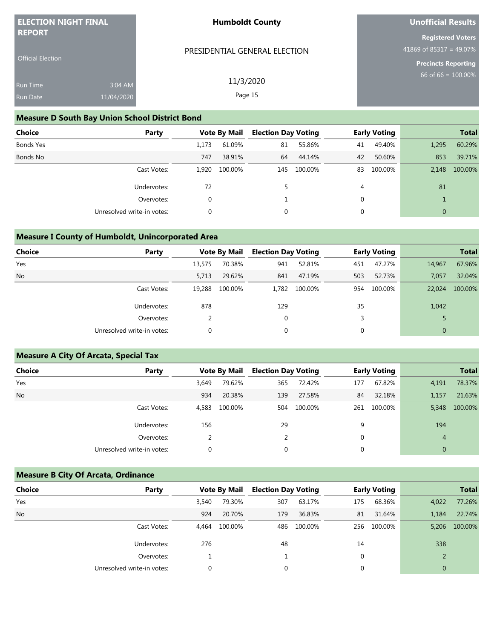| <b>ELECTION NIGHT FINAL</b>               |                       | <b>Humboldt County</b>                                | Unofficial Results                                                                |
|-------------------------------------------|-----------------------|-------------------------------------------------------|-----------------------------------------------------------------------------------|
| <b>REPORT</b><br><b>Official Election</b> |                       | PRESIDENTIAL GENERAL ELECTION                         | <b>Registered Voters</b><br>41869 of 85317 = 49.07%<br><b>Precincts Reporting</b> |
| <b>Run Time</b><br>Run Date               | 3:04 AM<br>11/04/2020 | 11/3/2020<br>Page 15                                  | $66$ of 66 = $100.00\%$                                                           |
|                                           |                       | <b>Measure D South Bay Union School District Bond</b> |                                                                                   |

| Choice    | Party                      |       | <b>Vote By Mail</b> | <b>Election Day Voting</b> |         |             | <b>Early Voting</b> |              | <b>Total</b> |
|-----------|----------------------------|-------|---------------------|----------------------------|---------|-------------|---------------------|--------------|--------------|
| Bonds Yes |                            | 1.173 | 61.09%              | 81                         | 55.86%  | 41          | 49.40%              | 1,295        | 60.29%       |
| Bonds No  |                            | 747   | 38.91%              | 64                         | 44.14%  | 42          | 50.60%              | 853          | 39.71%       |
|           | Cast Votes:                | 1.920 | 100.00%             | 145                        | 100.00% | 83          | 100.00%             | 2.148        | 100.00%      |
|           | Undervotes:                | 72    |                     | 5.                         |         | 4           |                     | 81           |              |
|           | Overvotes:                 | 0     |                     |                            |         | $\mathbf 0$ |                     |              |              |
|           | Unresolved write-in votes: |       |                     | 0                          |         | 0           |                     | $\mathbf{0}$ |              |

#### **Measure I County of Humboldt, Unincorporated Area**

| <b>Choice</b> | Party                      |        | <b>Vote By Mail</b> | <b>Election Day Voting</b> |         |     | <b>Early Voting</b> |              | <b>Total</b> |
|---------------|----------------------------|--------|---------------------|----------------------------|---------|-----|---------------------|--------------|--------------|
| Yes           |                            | 13,575 | 70.38%              | 941                        | 52.81%  | 451 | 47.27%              | 14,967       | 67.96%       |
| <b>No</b>     |                            | 5,713  | 29.62%              | 841                        | 47.19%  | 503 | 52.73%              | 7,057        | 32.04%       |
|               | Cast Votes:                | 19,288 | 100.00%             | 1,782                      | 100.00% | 954 | 100.00%             | 22,024       | 100.00%      |
|               | Undervotes:                | 878    |                     | 129                        |         | 35  |                     | 1,042        |              |
|               | Overvotes:                 |        |                     | $\mathbf 0$                |         | 3   |                     |              |              |
|               | Unresolved write-in votes: | 0      |                     | $\mathbf 0$                |         | 0   |                     | $\mathbf{0}$ |              |
|               |                            |        |                     |                            |         |     |                     |              |              |

# **Measure A City Of Arcata, Special Tax Choice Party Party Vote By Mail Election Day Voting Early Voting Party Total** Yes 3,649 79.62% 365 72.42% 177 67.82% 4,191 78.37% No 934 20.38% 139 27.58% 84 32.18% 1,157 21.63% Cast Votes: 4,583 100.00% 504 100.00% 261 100.00% 5,348 100.00% Undervotes: 156 29 9 9 194 Overvotes: 2 2 0 4 Unresolved write-in votes:  $\begin{array}{ccc} 0 & 0 & 0 \end{array}$

#### **Measure B City Of Arcata, Ordinance**

| <b>Choice</b> | Party                      |       | <b>Vote By Mail</b> | <b>Election Day Voting</b> |         |             | <b>Early Voting</b> |              | <b>Total</b> |
|---------------|----------------------------|-------|---------------------|----------------------------|---------|-------------|---------------------|--------------|--------------|
| Yes           |                            | 3.540 | 79.30%              | 307                        | 63.17%  | 175         | 68.36%              | 4,022        | 77.26%       |
| <b>No</b>     |                            | 924   | 20.70%              | 179                        | 36.83%  | 81          | 31.64%              | 1.184        | 22.74%       |
|               | Cast Votes:                | 4.464 | 100.00%             | 486                        | 100.00% |             | 256 100.00%         | 5.206        | 100.00%      |
|               | Undervotes:                | 276   |                     | 48                         |         | 14          |                     | 338          |              |
|               | Overvotes:                 |       |                     |                            |         | $\mathbf 0$ |                     |              |              |
|               | Unresolved write-in votes: |       |                     | 0                          |         | 0           |                     | $\mathbf{0}$ |              |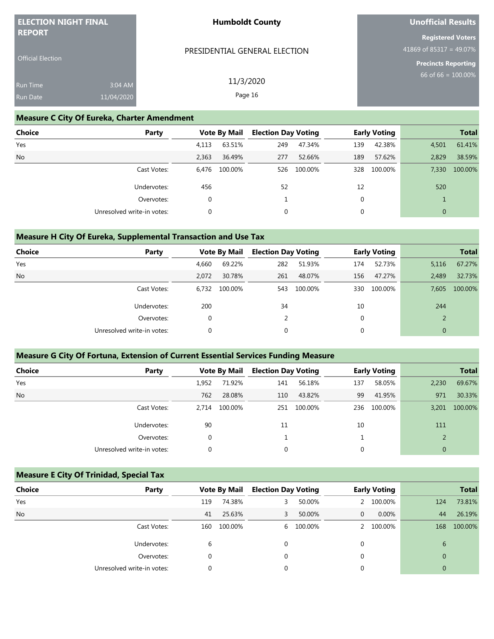| <b>ELECTION NIGHT FINAL</b><br><b>REPORT</b> |                                                    | <b>Humboldt County</b>        | Unofficial Results                                  |
|----------------------------------------------|----------------------------------------------------|-------------------------------|-----------------------------------------------------|
|                                              |                                                    |                               | <b>Registered Voters</b><br>41869 of 85317 = 49.07% |
| <b>Official Election</b>                     |                                                    | PRESIDENTIAL GENERAL ELECTION | Precincts Reporting                                 |
| <b>Run Time</b>                              | 3:04 AM                                            | 11/3/2020                     | $66$ of 66 = $100.00\%$                             |
| Run Date                                     | 11/04/2020                                         | Page 16                       |                                                     |
|                                              | <b>Measure C City Of Eureka, Charter Amendment</b> |                               |                                                     |

# **Choice Party Vote By Mail Election Day Voting Early Voting Total** Yes 4,113 63.51% 249 47.34% 139 42.38% 4,501 61.41% No 2,363 36.49% 277 52.66% 189 57.62% 2,829 38.59% Cast Votes: 6,476 100.00% 526 100.00% 328 100.00% 7,330 100.00% Undervotes: 456 52 520 12 520 Overvotes:  $\begin{matrix} 0 & 1 & 0 \end{matrix}$ Unresolved write-in votes:  $\begin{array}{ccc} 0 & 0 & 0 \end{array}$

#### **Measure H City Of Eureka, Supplemental Transaction and Use Tax**

| <b>Choice</b> | Party                      |       | <b>Vote By Mail</b> | <b>Election Day Voting</b> |         |     | <b>Early Voting</b> |              | <b>Total</b> |
|---------------|----------------------------|-------|---------------------|----------------------------|---------|-----|---------------------|--------------|--------------|
| Yes           |                            | 4,660 | 69.22%              | 282                        | 51.93%  | 174 | 52.73%              | 5,116        | 67.27%       |
| <b>No</b>     |                            | 2.072 | 30.78%              | 261                        | 48.07%  | 156 | 47.27%              | 2.489        | 32.73%       |
|               | Cast Votes:                | 6.732 | 100.00%             | 543                        | 100.00% | 330 | 100.00%             | 7.605        | 100.00%      |
|               | Undervotes:                | 200   |                     | 34                         |         | 10  |                     | 244          |              |
|               | Overvotes:                 | 0     |                     |                            |         | 0   |                     | 2            |              |
|               | Unresolved write-in votes: | 0     |                     | 0                          |         | 0   |                     | $\mathbf{0}$ |              |
|               |                            |       |                     |                            |         |     |                     |              |              |

#### **Measure G City Of Fortuna, Extension of Current Essential Services Funding Measure**

| <b>Choice</b> | Party                      | <b>Vote By Mail</b> |         | <b>Election Day Voting</b> |         |     | <b>Early Voting</b> |              | <b>Total</b> |
|---------------|----------------------------|---------------------|---------|----------------------------|---------|-----|---------------------|--------------|--------------|
| Yes           |                            | 1,952               | 71.92%  | 141                        | 56.18%  | 137 | 58.05%              | 2,230        | 69.67%       |
| No            |                            | 762                 | 28.08%  | 110                        | 43.82%  | 99  | 41.95%              | 971          | 30.33%       |
|               | Cast Votes:                | 2.714               | 100.00% | 251                        | 100.00% | 236 | 100.00%             | 3,201        | 100.00%      |
|               | Undervotes:                | 90                  |         | 11                         |         | 10  |                     | 111          |              |
|               | Overvotes:                 | 0                   |         |                            |         |     |                     |              |              |
|               | Unresolved write-in votes: |                     |         | 0                          |         |     |                     | $\mathbf{0}$ |              |

#### **Measure E City Of Trinidad, Special Tax**

| <b>Choice</b> | Party                      |     | <b>Vote By Mail</b> | <b>Election Day Voting</b> |           |   | <b>Early Voting</b> |                | <b>Total</b> |
|---------------|----------------------------|-----|---------------------|----------------------------|-----------|---|---------------------|----------------|--------------|
| Yes           |                            | 119 | 74.38%              | 3                          | 50.00%    |   | 100.00%             | 124            | 73.81%       |
| <b>No</b>     |                            | 41  | 25.63%              | 3                          | 50.00%    | 0 | 0.00%               | 44             | 26.19%       |
|               | Cast Votes:                | 160 | 100.00%             |                            | 6 100.00% |   | 100.00%             | 168            | 100.00%      |
|               | Undervotes:                | 6   |                     | 0                          |           | 0 |                     | 6              |              |
|               | Overvotes:                 | 0   |                     | 0                          |           | 0 |                     | $\overline{0}$ |              |
|               | Unresolved write-in votes: |     |                     | 0                          |           | 0 |                     | $\mathbf{0}$   |              |